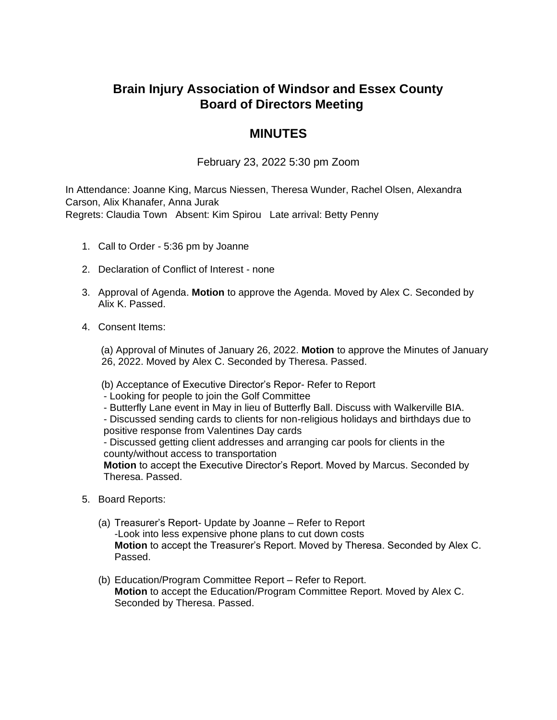## **Brain Injury Association of Windsor and Essex County Board of Directors Meeting**

## **MINUTES**

February 23, 2022 5:30 pm Zoom

In Attendance: Joanne King, Marcus Niessen, Theresa Wunder, Rachel Olsen, Alexandra Carson, Alix Khanafer, Anna Jurak Regrets: Claudia Town Absent: Kim Spirou Late arrival: Betty Penny

- 1. Call to Order 5:36 pm by Joanne
- 2. Declaration of Conflict of Interest none
- 3. Approval of Agenda. **Motion** to approve the Agenda. Moved by Alex C. Seconded by Alix K. Passed.
- 4. Consent Items:

(a) Approval of Minutes of January 26, 2022. **Motion** to approve the Minutes of January 26, 2022. Moved by Alex C. Seconded by Theresa. Passed.

- (b) Acceptance of Executive Director's Repor- Refer to Report
- Looking for people to join the Golf Committee
- Butterfly Lane event in May in lieu of Butterfly Ball. Discuss with Walkerville BIA.

 - Discussed sending cards to clients for non-religious holidays and birthdays due to positive response from Valentines Day cards

 - Discussed getting client addresses and arranging car pools for clients in the county/without access to transportation

 **Motion** to accept the Executive Director's Report. Moved by Marcus. Seconded by Theresa. Passed.

- 5. Board Reports:
	- (a) Treasurer's Report- Update by Joanne Refer to Report -Look into less expensive phone plans to cut down costs **Motion** to accept the Treasurer's Report. Moved by Theresa. Seconded by Alex C. Passed.
	- (b) Education/Program Committee Report Refer to Report. **Motion** to accept the Education/Program Committee Report. Moved by Alex C. Seconded by Theresa. Passed.